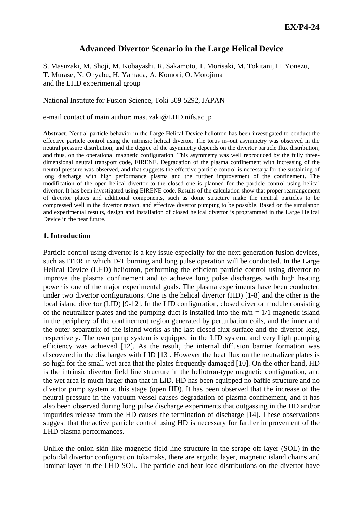# **Advanced Divertor Scenario in the Large Helical Device**

S. Masuzaki, M. Shoji, M. Kobayashi, R. Sakamoto, T. Morisaki, M. Tokitani, H. Yonezu, T. Murase, N. Ohyabu, H. Yamada, A. Komori, O. Motojima and the LHD experimental group

National Institute for Fusion Science, Toki 509-5292, JAPAN

e-mail contact of main author: masuzaki@LHD.nifs.ac.jp

**Abstract**. Neutral particle behavior in the Large Helical Device heliotron has been investigated to conduct the effective particle control using the intrinsic helical divertor. The torus in–out asymmetry was observed in the neutral pressure distribution, and the degree of the asymmetry depends on the divertor particle flux distribution, and thus, on the operational magnetic configuration. This asymmetry was well reproduced by the fully threedimensional neutral transport code, EIRENE. Degradation of the plasma confinement with increasing of the neutral pressure was observed, and that suggests the effective particle control is necessary for the sustaining of long discharge with high performance plasma and the further improvement of the confinement. The modification of the open helical divertor to the closed one is planned for the particle control using helical divertor. It has been investigated using EIRENE code. Results of the calculation show that proper rearrangement of divertor plates and additional components, such as dome structure make the neutral particles to be compressed well in the divertor region, and effective divertor pumping to be possible. Based on the simulation and experimental results, design and installation of closed helical divertor is programmed in the Large Helical Device in the near future.

### **1. Introduction**

Particle control using divertor is a key issue especially for the next generation fusion devices, such as ITER in which D-T burning and long pulse operation will be conducted. In the Large Helical Device (LHD) heliotron, performing the efficient particle control using divertor to improve the plasma confinement and to achieve long pulse discharges with high heating power is one of the major experimental goals. The plasma experiments have been conducted under two divertor configurations. One is the helical divertor (HD) [1-8] and the other is the local island divertor (LID) [9-12]. In the LID configuration, closed divertor module consisting of the neutralizer plates and the pumping duct is installed into the  $m/n = 1/1$  magnetic island in the periphery of the confinement region generated by perturbation coils, and the inner and the outer separatrix of the island works as the last closed flux surface and the divertor legs, respectively. The own pump system is equipped in the LID system, and very high pumping efficiency was achieved [12]. As the result, the internal diffusion barrier formation was discovered in the discharges with LID [13]. However the heat flux on the neutralizer plates is so high for the small wet area that the plates frequently damaged [10]. On the other hand, HD is the intrinsic divertor field line structure in the heliotron-type magnetic configuration, and the wet area is much larger than that in LID. HD has been equipped no baffle structure and no divertor pump system at this stage (open HD). It has been observed that the increase of the neutral pressure in the vacuum vessel causes degradation of plasma confinement, and it has also been observed during long pulse discharge experiments that outgassing in the HD and/or impurities release from the HD causes the termination of discharge [14]. These observations suggest that the active particle control using HD is necessary for farther improvement of the LHD plasma performances.

Unlike the onion-skin like magnetic field line structure in the scrape-off layer (SOL) in the poloidal divertor configuration tokamaks, there are ergodic layer, magnetic island chains and laminar layer in the LHD SOL. The particle and heat load distributions on the divertor have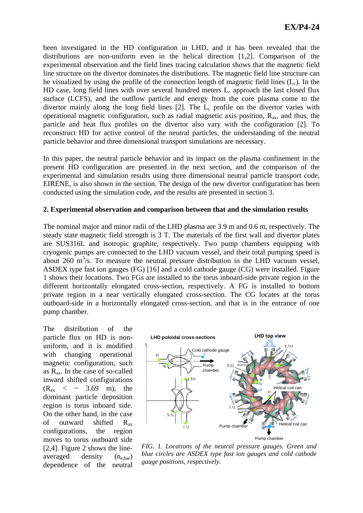been investigated in the HD configuration in LHD, and it has been revealed that the distributions are non-uniform even in the helical direction [1,2]. Comparison of the experimental observation and the field lines tracing calculation shows that the magnetic field line structure on the divertor dominates the distributions. The magnetic field line structure can be visualized by using the profile of the connection length of magnetic field lines  $(L<sub>c</sub>)$ . In the HD case, long field lines with over several hundred meters  $L_c$  approach the last closed flux surface (LCFS), and the outflow particle and energy from the core plasma come to the divertor mainly along the long field lines  $[2]$ . The  $L_c$  profile on the divertor varies with operational magnetic configuration, such as radial magnetic axis position,  $R_{ax}$ , and thus, the particle and heat flux profiles on the divertor also vary with the configuration [2]. To reconstruct HD for active control of the neutral particles, the understanding of the neutral particle behavior and three dimensional transport simulations are necessary.

In this paper, the neutral particle behavior and its impact on the plasma confinement in the present HD configuration are presented in the next section, and the comparison of the experimental and simulation results using three dimensional neutral particle transport code, EIRENE, is also shown in the section. The design of the new divertor configuration has been conducted using the simulation code, and the results are presented in section 3.

### **2. Experimental observation and comparison between that and the simulation results**

The nominal major and minor radii of the LHD plasma are 3.9 m and 0.6 m, respectively. The steady state magnetic field strength is 3 T. The materials of the first wall and divertor plates are SUS316L and isotropic graphite, respectively. Two pump chambers equipping with cryogenic pumps are connected to the LHD vacuum vessel, and their total pumping speed is about  $260 \text{ m}^3/\text{s}$ . To measure the neutral pressure distribution in the LHD vacuum vessel, ASDEX type fast ion gauges (FG) [16] and a cold cathode gauge (CG) were installed. Figure 1 shows their locations. Two FGs are installed to the torus inboard-side private region in the different horizontally elongated cross-section, respectively. A FG is installed to bottom private region in a near vertically elongated cross-section. The CG locates at the torus outboard-side in a horizontally elongated cross-section, and that is in the entrance of one pump chamber.

The distribution of the particle flux on HD is nonuniform, and it is modified with changing operational magnetic configuration, such as  $R_{ax}$ . In the case of so-called inward shifted configurations  $(R_{ax} < \sim 3.69 \text{ m})$ , the dominant particle deposition region is torus inboard side. On the other hand, in the case of outward shifted Rax configurations, the region moves to torus outboard side [2,4]. Figure 2 shows the lineaveraged density  $(n_{e, bar})$ dependence of the neutral



*FIG. 1. Locations of the neutral pressure gauges. Green and blue circles are ASDEX type fast ion gauges and cold cathode gauge positions, respectively.*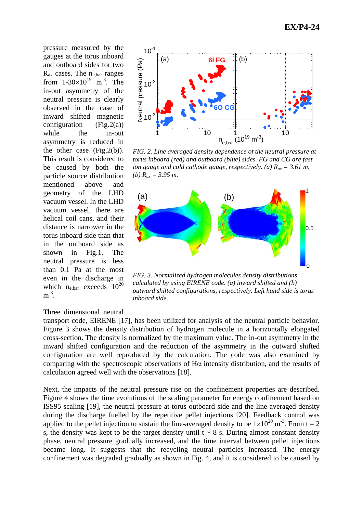pressure measured by the gauges at the torus inboard and outboard sides for two  $R_{ax}$  cases. The  $n_{e, bar}$  ranges from  $1-30\times10^{19}$  m<sup>-3</sup>. The in-out asymmetry of the neutral pressure is clearly observed in the case of inward shifted magnetic configuration  $(Fig.2(a))$ while the in-out asymmetry is reduced in the other case (Fig.2(b)). This result is considered to be caused by both the particle source distribution mentioned above and geometry of the LHD vacuum vessel. In the LHD vacuum vessel, there are helical coil cans, and their distance is narrower in the torus inboard side than that in the outboard side as shown in Fig.1. The neutral pressure is less than 0.1 Pa at the most even in the discharge in which  $n_{e, bar}$  exceeds  $10^{20}$  $m^{-3}$ .



*FIG. 2. Line averaged density dependence of the neutral pressure at torus inboard (red) and outboard (blue) sides. FG and CG are fast ion gauge and cold cathode gauge, respectively. (a)*  $R_{ax} = 3.61$  *m, (b) Rax = 3.95 m.* 



*FIG. 3. Normalized hydrogen molecules density distributions calculated by using EIRENE code. (a) inward shifted and (b) outward shifted configurations, respectively. Left hand side is torus inboard side.* 

#### Three dimensional neutral

transport code, EIRENE [17], has been utilized for analysis of the neutral particle behavior. Figure 3 shows the density distribution of hydrogen molecule in a horizontally elongated cross-section. The density is normalized by the maximum value. The in-out asymmetry in the inward shifted configuration and the reduction of the asymmetry in the outward shifted configuration are well reproduced by the calculation. The code was also examined by comparing with the spectroscopic observations of  $H\alpha$  intensity distribution, and the results of calculation agreed well with the observations [18].

Next, the impacts of the neutral pressure rise on the confinement properties are described. Figure 4 shows the time evolutions of the scaling parameter for energy confinement based on ISS95 scaling [19], the neutral pressure at torus outboard side and the line-averaged density during the discharge fuelled by the repetitive pellet injections [20]. Feedback control was applied to the pellet injection to sustain the line-averaged density to be  $1\times10^{20}$  m<sup>-3</sup>. From t = 2. s, the density was kept to be the target density until  $t \sim 8$  s. During almost constant density phase, neutral pressure gradually increased, and the time interval between pellet injections became long. It suggests that the recycling neutral particles increased. The energy confinement was degraded gradually as shown in Fig. 4, and it is considered to be caused by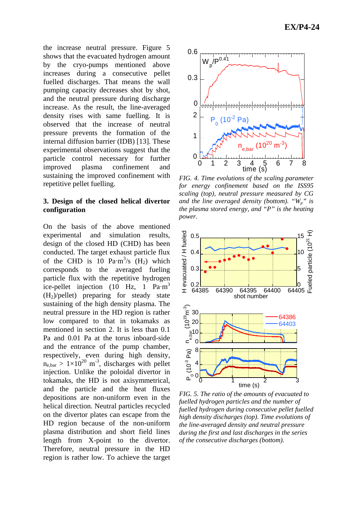the increase neutral pressure. Figure 5 shows that the evacuated hydrogen amount by the cryo-pumps mentioned above increases during a consecutive pellet fuelled discharges. That means the wall pumping capacity decreases shot by shot, and the neutral pressure during discharge increase. As the result, the line-averaged density rises with same fuelling. It is observed that the increase of neutral pressure prevents the formation of the internal diffusion barrier (IDB) [13]. These experimental observations suggest that the particle control necessary for further improved plasma confinement and sustaining the improved confinement with repetitive pellet fuelling.

## **3. Design of the closed helical divertor configuration**

On the basis of the above mentioned experimental and simulation results, design of the closed HD (CHD) has been conducted. The target exhaust particle flux of the CHD is 10  $Pa·m<sup>3</sup>/s$  (H<sub>2</sub>) which corresponds to the averaged fueling particle flux with the repetitive hydrogen ice-pellet injection  $(10 \text{ Hz}, 1 \text{ Pa} \cdot \text{m}^3)$  $(H<sub>2</sub>)/\text{pellet}$  preparing for steady state sustaining of the high density plasma. The neutral pressure in the HD region is rather low compared to that in tokamaks as mentioned in section 2. It is less than 0.1 Pa and 0.01 Pa at the torus inboard-side and the entrance of the pump chamber, respectively, even during high density,  $n_{\text{e bar}} > 1 \times 10^{20} \text{ m}^3$ , discharges with pellet injection. Unlike the poloidal divertor in tokamaks, the HD is not axisymmetrical, and the particle and the heat fluxes depositions are non-uniform even in the helical direction. Neutral particles recycled on the divertor plates can escape from the HD region because of the non-uniform plasma distribution and short field lines length from X-point to the divertor. Therefore, neutral pressure in the HD region is rather low. To achieve the target



*FIG. 4. Time evolutions of the scaling parameter for energy confinement based on the ISS95 scaling (top), neutral pressure measured by CG and the line averaged density (bottom). "Wp" is the plasma stored energy, and "P" is the heating power.* 



*FIG. 5. The ratio of the amounts of evacuated to fuelled hydrogen particles and the number of fuelled hydrogen during consecutive pellet fuelled high density discharges (top). Time evolutions of the line-averaged density and neutral pressure during the first and last discharges in the series of the consecutive discharges (bottom).*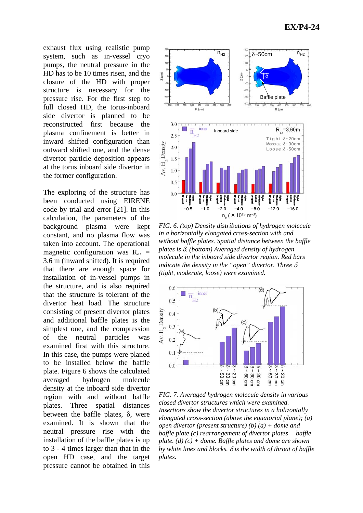exhaust flux using realistic pump system, such as in-vessel cryo pumps, the neutral pressure in the HD has to be 10 times risen, and the closure of the HD with proper structure is necessary for the pressure rise. For the first step to full closed HD, the torus-inboard side divertor is planned to be reconstructed first because the plasma confinement is better in inward shifted configuration than outward shifted one, and the dense divertor particle deposition appears at the torus inboard side divertor in the former configuration.

The exploring of the structure has been conducted using EIRENE code by trial and error [21]. In this calculation, the parameters of the background plasma were kept constant, and no plasma flow was taken into account. The operational magnetic configuration was  $R_{ax}$  = 3.6 m (inward shifted). It is required that there are enough space for installation of in-vessel pumps in the structure, and is also required that the structure is tolerant of the divertor heat load. The structure consisting of present divertor plates and additional baffle plates is the simplest one, and the compression of the neutral particles was examined first with this structure. In this case, the pumps were planed to be installed below the baffle plate. Figure 6 shows the calculated averaged hydrogen molecule density at the inboard side divertor region with and without baffle plates. Three spatial distances between the baffle plates,  $\delta$ , were examined. It is shown that the neutral pressure rise with the installation of the baffle plates is up to 3 - 4 times larger than that in the open HD case, and the target pressure cannot be obtained in this



*FIG. 6. (top) Density distributions of hydrogen molecule in a horizontally elongated cross-section with and without baffle plates. Spatial distance between the baffle plates is* δ*. (bottom) Averaged density of hydrogen molecule in the inboard side divertor region. Red bars indicate the density in the "open" divertor. Three* δ *(tight, moderate, loose) were examined.* 



*FIG. 7. Averaged hydrogen molecule density in various closed divertor structures which were examined. Insertions show the divertor structures in a holizontally elongated cross-section (above the equatorial plane); (a) open divertor (present structure) (b) (a) + dome and baffle plate (c) rearrangement of divertor plates + baffle plate. (d) (c) + dome. Baffle plates and dome are shown by white lines and blocks.* δ *is the width of throat of baffle plates.*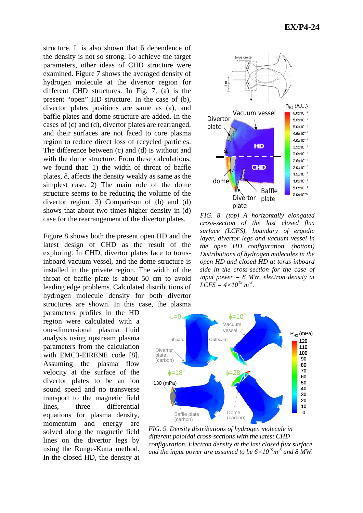structure. It is also shown that  $\delta$  dependence of the density is not so strong. To achieve the target parameters, other ideas of CHD structure were examined. Figure 7 shows the averaged density of hydrogen molecule at the divertor region for different CHD structures. In Fig. 7, (a) is the present "open" HD structure. In the case of (b), divertor plates positions are same as (a), and baffle plates and dome structure are added. In the cases of (c) and (d), divertor plates are rearranged, and their surfaces are not faced to core plasma region to reduce direct loss of recycled particles. The difference between (c) and (d) is without and with the dome structure. From these calculations, we found that: 1) the width of throat of baffle plates, δ, affects the density weakly as same as the simplest case. 2) The main role of the dome structure seems to be reducing the volume of the divertor region. 3) Comparison of (b) and (d) shows that about two times higher density in (d) case for the rearrangement of the divertor plates.

Figure 8 shows both the present open HD and the latest design of CHD as the result of the exploring. In CHD, divertor plates face to torusinboard vacuum vessel, and the dome structure is installed in the private region. The width of the throat of baffle plate is about 50 cm to avoid leading edge problems. Calculated distributions of hydrogen molecule density for both divertor structures are shown. In this case, the plasma

parameters profiles in the HD region were calculated with a one-dimensional plasma fluid analysis using upstream plasma parameters from the calculation with EMC3-EIRENE code [8]. Assuming the plasma flow velocity at the surface of the divertor plates to be an ion sound speed and no transverse transport to the magnetic field lines, three differential equations for plasma density, momentum and energy are solved along the magnetic field lines on the divertor legs by using the Runge-Kutta method. In the closed HD, the density at



*FIG. 8. (top) A horizontally elongated cross-section of the last closed flux surface (LCFS), boundary of ergodic layer, divertor legs and vacuum vessel in the open HD configuration. (bottom) Distributions of hydrogen molecules in the open HD and closed HD at torus-inboard side in the cross-section for the case of input power = 8 MW, electron density at*   $LCFS = 4 \times 10^{19} \text{ m}^3$ .



*FIG. 9. Density distributions of hydrogen molecule in different poloidal cross-sections with the latest CHD configuration. Electron density at the last closed flux surface*  and the input power are assumed to be  $6 \times 10^{19}$ m<sup>3</sup> and 8 MW.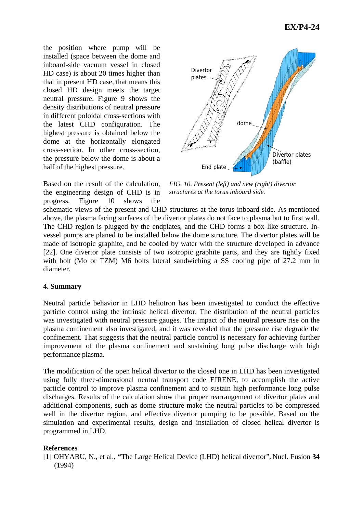the position where pump will be installed (space between the dome and inboard-side vacuum vessel in closed HD case) is about 20 times higher than that in present HD case, that means this closed HD design meets the target neutral pressure. Figure 9 shows the density distributions of neutral pressure in different poloidal cross-sections with the latest CHD configuration. The highest pressure is obtained below the dome at the horizontally elongated cross-section. In other cross-section, the pressure below the dome is about a half of the highest pressure.



Based on the result of the calculation, the engineering design of CHD is in progress. Figure 10 shows the

*FIG. 10. Present (left) and new (right) divertor structures at the torus inboard side.* 

schematic views of the present and CHD structures at the torus inboard side. As mentioned above, the plasma facing surfaces of the divertor plates do not face to plasma but to first wall. The CHD region is plugged by the endplates, and the CHD forms a box like structure. Invessel pumps are planed to be installed below the dome structure. The divertor plates will be made of isotropic graphite, and be cooled by water with the structure developed in advance [22]. One divertor plate consists of two isotropic graphite parts, and they are tightly fixed with bolt (Mo or TZM) M6 bolts lateral sandwiching a SS cooling pipe of 27.2 mm in diameter.

## **4. Summary**

Neutral particle behavior in LHD heliotron has been investigated to conduct the effective particle control using the intrinsic helical divertor. The distribution of the neutral particles was investigated with neutral pressure gauges. The impact of the neutral pressure rise on the plasma confinement also investigated, and it was revealed that the pressure rise degrade the confinement. That suggests that the neutral particle control is necessary for achieving further improvement of the plasma confinement and sustaining long pulse discharge with high performance plasma.

The modification of the open helical divertor to the closed one in LHD has been investigated using fully three-dimensional neutral transport code EIRENE, to accomplish the active particle control to improve plasma confinement and to sustain high performance long pulse discharges. Results of the calculation show that proper rearrangement of divertor plates and additional components, such as dome structure make the neutral particles to be compressed well in the divertor region, and effective divertor pumping to be possible. Based on the simulation and experimental results, design and installation of closed helical divertor is programmed in LHD.

# **References**

[1] OHYABU, N., et al., **"**The Large Helical Device (LHD) helical divertor"**,** Nucl. Fusion **34** (1994)